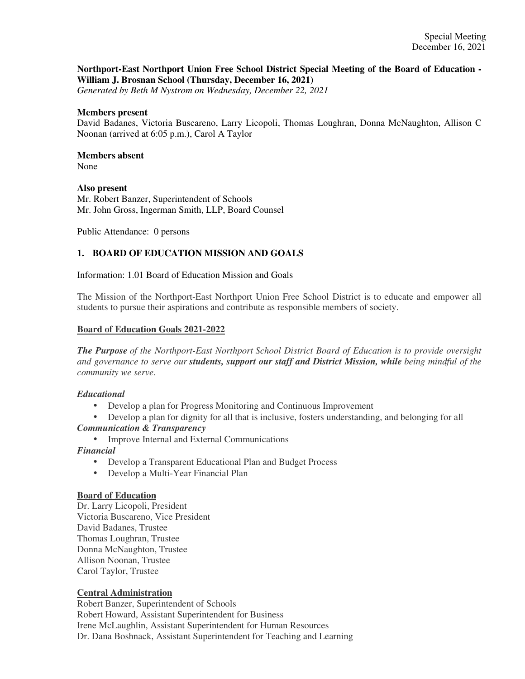# **Northport-East Northport Union Free School District Special Meeting of the Board of Education - William J. Brosnan School (Thursday, December 16, 2021)**

*Generated by Beth M Nystrom on Wednesday, December 22, 2021*

#### **Members present**

David Badanes, Victoria Buscareno, Larry Licopoli, Thomas Loughran, Donna McNaughton, Allison C Noonan (arrived at 6:05 p.m.), Carol A Taylor

# **Members absent**

None

# **Also present**

Mr. Robert Banzer, Superintendent of Schools Mr. John Gross, Ingerman Smith, LLP, Board Counsel

Public Attendance: 0 persons

## **1. BOARD OF EDUCATION MISSION AND GOALS**

Information: 1.01 Board of Education Mission and Goals

The Mission of the Northport-East Northport Union Free School District is to educate and empower all students to pursue their aspirations and contribute as responsible members of society.

#### **Board of Education Goals 2021-2022**

*The Purpose of the Northport-East Northport School District Board of Education is to provide oversight and governance to serve our students, support our staff and District Mission, while being mindful of the community we serve.*

## *Educational*

- Develop a plan for Progress Monitoring and Continuous Improvement
- Develop a plan for dignity for all that is inclusive, fosters understanding, and belonging for all *Communication & Transparency*
	- Improve Internal and External Communications

*Financial*

- Develop a Transparent Educational Plan and Budget Process
- Develop a Multi-Year Financial Plan

#### **Board of Education**

Dr. Larry Licopoli, President Victoria Buscareno, Vice President David Badanes, Trustee Thomas Loughran, Trustee Donna McNaughton, Trustee Allison Noonan, Trustee Carol Taylor, Trustee

## **Central Administration**

Robert Banzer, Superintendent of Schools Robert Howard, Assistant Superintendent for Business Irene McLaughlin, Assistant Superintendent for Human Resources Dr. Dana Boshnack, Assistant Superintendent for Teaching and Learning